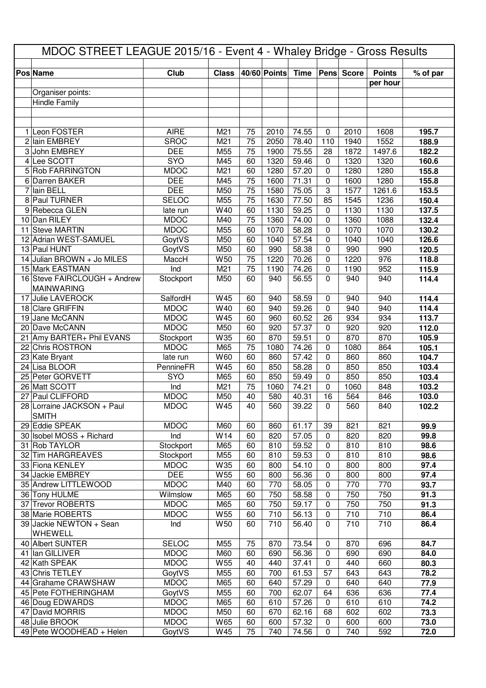| MDOC STREET LEAGUE 2015/16 - Event 4 - Whaley Bridge - Gross Results |                             |                  |                 |              |                    |                  |              |                           |                |  |
|----------------------------------------------------------------------|-----------------------------|------------------|-----------------|--------------|--------------------|------------------|--------------|---------------------------|----------------|--|
|                                                                      | <b>Club</b>                 | <b>Class</b>     |                 | 40/60 Points |                    |                  |              |                           |                |  |
| <b>Pos Name</b>                                                      |                             |                  |                 |              | <b>Time</b>        |                  | Pens Score   | <b>Points</b><br>per hour | % of par       |  |
| Organiser points:                                                    |                             |                  |                 |              |                    |                  |              |                           |                |  |
| <b>Hindle Family</b>                                                 |                             |                  |                 |              |                    |                  |              |                           |                |  |
|                                                                      |                             |                  |                 |              |                    |                  |              |                           |                |  |
|                                                                      |                             |                  |                 |              |                    |                  |              |                           |                |  |
| 1 Leon FOSTER                                                        | <b>AIRE</b>                 | M21              | 75              | 2010         | 74.55              | $\mathbf 0$      | 2010         | 1608                      | 195.7          |  |
| 2 Iain EMBREY                                                        | <b>SROC</b><br><b>DEE</b>   | M21              | 75              | 2050         | 78.40<br>75.55     | 110              | 1940         | 1552                      | 188.9          |  |
| 3 John EMBREY<br>4 Lee SCOTT                                         | <b>SYO</b>                  | M55<br>M45       | 75<br>60        | 1900<br>1320 | 59.46              | 28<br>0          | 1872<br>1320 | 1497.6<br>1320            | 182.2<br>160.6 |  |
| 5 Rob FARRINGTON                                                     | <b>MDOC</b>                 | M21              | 60              | 1280         | 57.20              | $\mathbf 0$      | 1280         | 1280                      | 155.8          |  |
| 6 Darren BAKER                                                       | <b>DEE</b>                  | M45              | 75              | 1600         | 71.31              | $\mathbf 0$      | 1600         | 1280                      | 155.8          |  |
| 7 Iain BELL                                                          | <b>DEE</b>                  | M50              | 75              | 1580         | 75.05              | 3                | 1577         | 1261.6                    | 153.5          |  |
| 8 Paul TURNER                                                        | <b>SELOC</b>                | M55              | 75              | 1630         | 77.50              | 85               | 1545         | 1236                      | 150.4          |  |
| 9 Rebecca GLEN                                                       | late run                    | W40              | 60              | 1130         | 59.25              | $\mathbf 0$      | 1130         | 1130                      | 137.5          |  |
| 10 Dan RILEY                                                         | <b>MDOC</b>                 | M40              | 75              | 1360         | 74.00              | $\mathbf 0$      | 1360         | 1088                      | 132.4          |  |
| 11 Steve MARTIN                                                      | <b>MDOC</b>                 | M55              | 60              | 1070         | 58.28              | $\Omega$         | 1070         | 1070                      | 130.2          |  |
| 12 Adrian WEST-SAMUEL                                                | GoytVS                      | M50              | 60              | 1040         | 57.54              | $\mathbf 0$      | 1040         | 1040                      | 126.6          |  |
| 13 Paul HUNT                                                         | <b>GoytVS</b>               | M50              | 60              | 990          | 58.38              | $\Omega$         | 990          | 990                       | 120.5          |  |
| 14 Julian BROWN + Jo MILES                                           | MaccH                       | W50              | 75              | 1220         | 70.26              | $\mathbf 0$      | 1220         | 976                       | 118.8          |  |
| 15 Mark EASTMAN                                                      | Ind                         | M21              | 75              | 1190         | 74.26              | $\mathbf 0$      | 1190         | 952                       | 115.9          |  |
| 16 Steve FAIRCLOUGH + Andrew                                         | Stockport                   | M50              | 60              | 940          | 56.55              | $\Omega$         | 940          | 940                       | 114.4          |  |
| <b>MAINWARING</b><br>17 Julie LAVEROCK                               | SalfordH                    | W45              | 60              | 940          | 58.59              | 0                | 940          | 940                       | 114.4          |  |
| 18 Clare GRIFFIN                                                     | <b>MDOC</b>                 | W40              | 60              | 940          | 59.26              | $\Omega$         | 940          | 940                       | 114.4          |  |
| 19 Jane McCANN                                                       | <b>MDOC</b>                 | W45              | 60              | 960          | $60.\overline{52}$ | 26               | 934          | 934                       | 113.7          |  |
| 20 Dave McCANN                                                       | <b>MDOC</b>                 | M50              | 60              | 920          | 57.37              | $\mathbf 0$      | 920          | 920                       | 112.0          |  |
| 21 Amy BARTER+ Phil EVANS                                            | Stockport                   | W35              | 60              | 870          | 59.51              | $\mathbf 0$      | 870          | 870                       | 105.9          |  |
| 22 Chris ROSTRON                                                     | <b>MDOC</b>                 | M65              | 75              | 1080         | 74.26              | $\Omega$         | 1080         | 864                       | 105.1          |  |
| 23 Kate Bryant                                                       | late run                    | W60              | 60              | 860          | 57.42              | $\mathbf 0$      | 860          | 860                       | 104.7          |  |
| 24 Lisa BLOOR                                                        | PennineFR                   | W45              | 60              | 850          | 58.28              | $\mathbf 0$      | 850          | 850                       | 103.4          |  |
| 25 Peter GORVETT                                                     | SYO                         | M65              | 60              | 850          | 59.49              | $\mathbf 0$      | 850          | 850                       | 103.4          |  |
| 26 Matt SCOTT                                                        | Ind                         | M21              | 75              | 1060         | 74.21              | $\mathbf 0$      | 1060         | 848                       | 103.2          |  |
| 27 Paul CLIFFORD                                                     | <b>MDOC</b>                 | M50              | 40              | 580          | 40.31              | 16               | 564          | 846                       | 103.0          |  |
| 28 Lorraine JACKSON + Paul                                           | <b>MDOC</b>                 | W45              | $\overline{40}$ | 560          | 39.22              | $\mathbf{0}$     | 560          | 840                       | 102.2          |  |
| <b>SMITH</b><br>29 Eddie SPEAK                                       | <b>MDOC</b>                 | M60              | 60              | 860          | 61.17              | 39               | 821          | 821                       | 99.9           |  |
| 30 Isobel MOSS + Richard                                             | Ind                         | $\overline{W14}$ | 60              | 820          | 57.05              | $\mathbf 0$      | 820          | 820                       | 99.8           |  |
| 31 Rob TAYLOR                                                        | Stockport                   | M65              | 60              | 810          | 59.52              | $\mathbf 0$      | 810          | 810                       | 98.6           |  |
| 32 Tim HARGREAVES                                                    | Stockport                   | M55              | 60              | 810          | 59.53              | $\mathbf 0$      | 810          | 810                       | 98.6           |  |
| 33 Fiona KENLEY                                                      | <b>MDOC</b>                 | <b>W35</b>       | 60              | 800          | 54.10              | $\Omega$         | 800          | 800                       | 97.4           |  |
| 34 Jackie EMBREY                                                     | <b>DEE</b>                  | W <sub>55</sub>  | 60              | 800          | 56.36              | $\mathbf 0$      | 800          | 800                       | 97.4           |  |
| 35 Andrew LITTLEWOOD                                                 | <b>MDOC</b>                 | M40              | 60              | 770          | 58.05              | $\mathbf 0$      | 770          | 770                       | 93.7           |  |
| 36 Tony HULME                                                        | Wilmslow                    | M65              | 60              | 750          | 58.58              | $\mathbf 0$      | 750          | 750                       | 91.3           |  |
| 37 Trevor ROBERTS                                                    | <b>MDOC</b>                 | M65              | 60              | 750          | 59.17              | $\mathbf 0$      | 750          | 750                       | 91.3           |  |
| 38 Marie ROBERTS                                                     | <b>MDOC</b>                 | W55              | 60              | 710          | 56.13              | $\mathbf 0$      | 710          | 710                       | 86.4           |  |
| 39 Jackie NEWTON + Sean                                              | Ind                         | W50              | 60              | 710          | 56.40              | $\mathbf 0$      | 710          | 710                       | 86.4           |  |
| WHEWELL                                                              |                             |                  |                 |              |                    |                  |              |                           |                |  |
| 40 Albert SUNTER<br>41 Ian GILLIVER                                  | <b>SELOC</b><br><b>MDOC</b> | M55<br>M60       | 75<br>60        | 870<br>690   | 73.54<br>56.36     | $\mathbf 0$<br>0 | 870<br>690   | 696<br>690                | 84.7<br>84.0   |  |
| 42 Kath SPEAK                                                        | <b>MDOC</b>                 | W55              | 40              | 440          | 37.41              | $\mathbf 0$      | 440          | 660                       | 80.3           |  |
| 43 Chris TETLEY                                                      | GoytVS                      | M55              | 60              | 700          | 61.53              | 57               | 643          | 643                       | 78.2           |  |
| 44 Grahame CRAWSHAW                                                  | <b>MDOC</b>                 | M65              | 60              | 640          | 57.29              | $\mathbf 0$      | 640          | 640                       | 77.9           |  |
| 45 Pete FOTHERINGHAM                                                 | GoytVS                      | M55              | 60              | 700          | 62.07              | 64               | 636          | 636                       | 77.4           |  |
| 46 Doug EDWARDS                                                      | <b>MDOC</b>                 | M65              | 60              | 610          | 57.26              | $\mathbf 0$      | 610          | 610                       | 74.2           |  |
| 47 David MORRIS                                                      | <b>MDOC</b>                 | M50              | 60              | 670          | 62.16              | 68               | 602          | 602                       | 73.3           |  |
| 48 Julie BROOK                                                       | <b>MDOC</b>                 | W65              | 60              | 600          | 57.32              | $\mathbf 0$      | 600          | 600                       | 73.0           |  |
| 49 Pete WOODHEAD + Helen                                             | GoytVS                      | W45              | 75              | 740          | 74.56              | $\mathbf 0$      | 740          | 592                       | 72.0           |  |